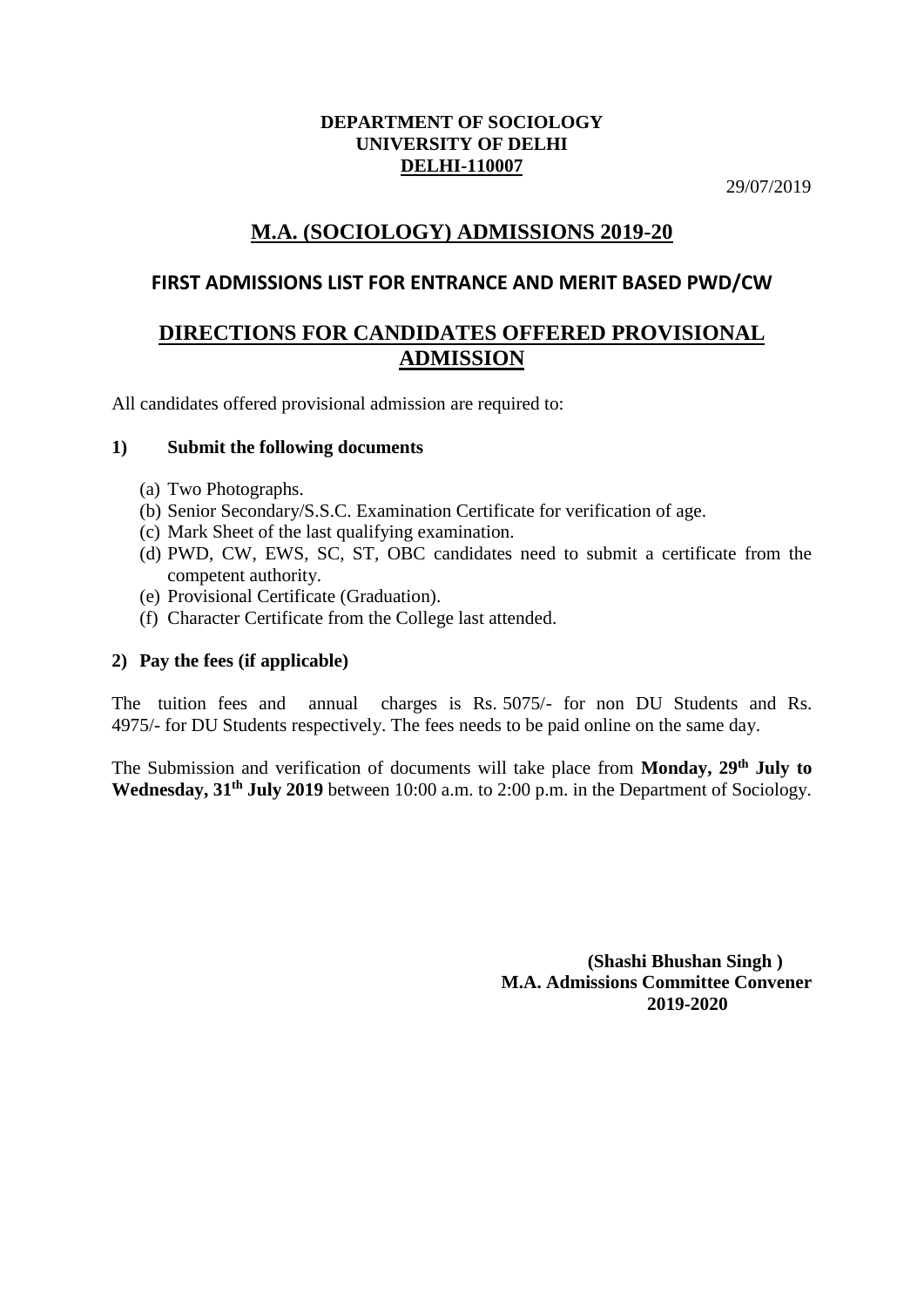#### **DEPARTMENT OF SOCIOLOGY UNIVERSITY OF DELHI DELHI-110007**

29/07/2019

# **M.A. (SOCIOLOGY) ADMISSIONS 2019-20**

## **FIRST ADMISSIONS LIST FOR ENTRANCE AND MERIT BASED PWD/CW**

## **DIRECTIONS FOR CANDIDATES OFFERED PROVISIONAL ADMISSION**

All candidates offered provisional admission are required to:

### **1) Submit the following documents**

- (a) Two Photographs.
- (b) Senior Secondary/S.S.C. Examination Certificate for verification of age.
- (c) Mark Sheet of the last qualifying examination.
- (d) PWD, CW, EWS, SC, ST, OBC candidates need to submit a certificate from the competent authority.
- (e) Provisional Certificate (Graduation).
- (f) Character Certificate from the College last attended.

## **2) Pay the fees (if applicable)**

The tuition fees and annual charges is Rs. 5075/- for non DU Students and Rs. 4975/- for DU Students respectively. The fees needs to be paid online on the same day.

The Submission and verification of documents will take place from **Monday, 29th July to Wednesday, 31th July 2019** between 10:00 a.m. to 2:00 p.m. in the Department of Sociology.

> **(Shashi Bhushan Singh ) M.A. Admissions Committee Convener 2019-2020**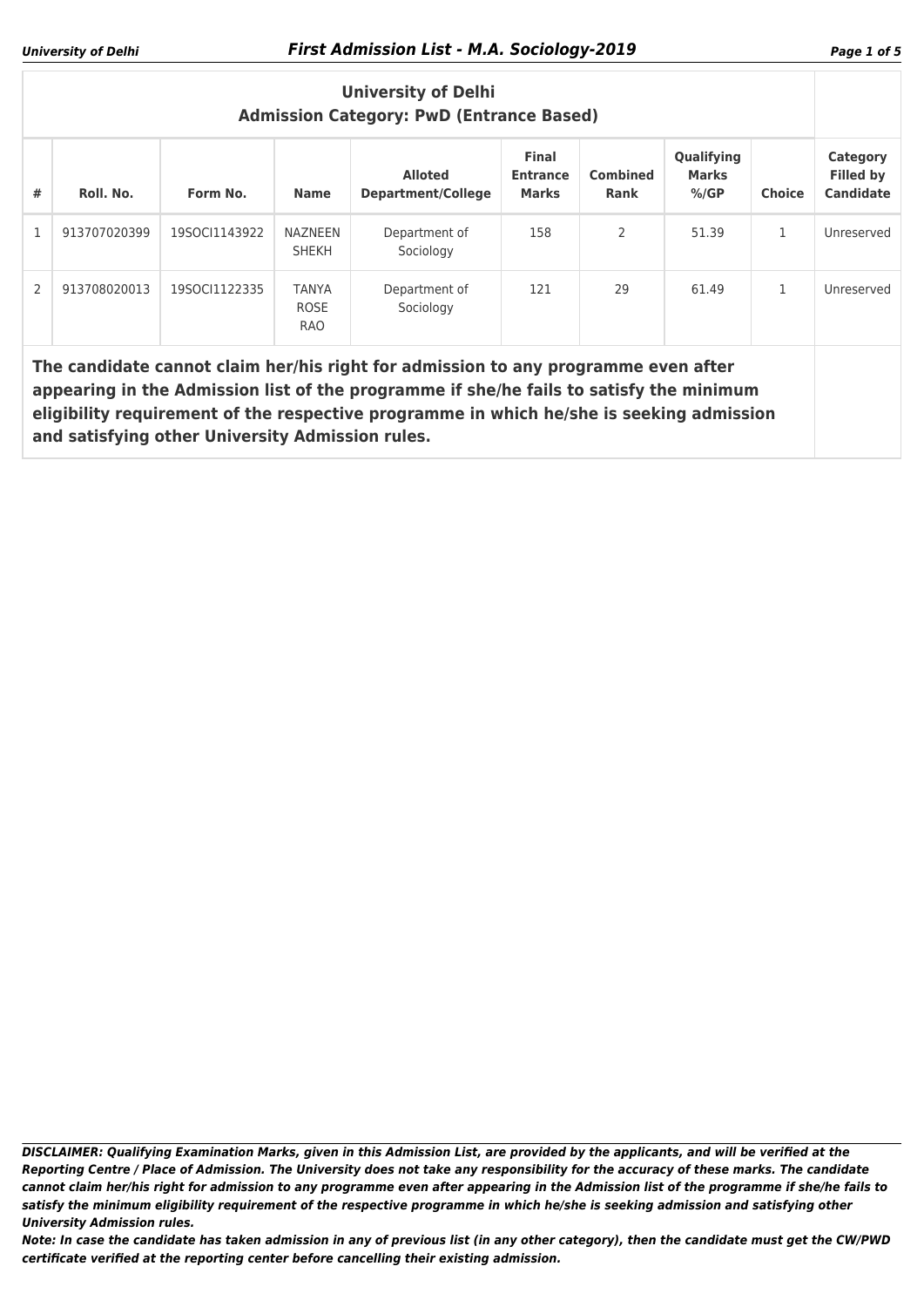| <b>University of Delhi</b><br><b>Admission Category: PwD (Entrance Based)</b>                                                                                                                                                                                                                                                                     |              |               |                                           |                                             |                                                 |                         |                                       |               |                                                  |
|---------------------------------------------------------------------------------------------------------------------------------------------------------------------------------------------------------------------------------------------------------------------------------------------------------------------------------------------------|--------------|---------------|-------------------------------------------|---------------------------------------------|-------------------------------------------------|-------------------------|---------------------------------------|---------------|--------------------------------------------------|
| #                                                                                                                                                                                                                                                                                                                                                 | Roll. No.    | Form No.      | <b>Name</b>                               | <b>Alloted</b><br><b>Department/College</b> | <b>Final</b><br><b>Entrance</b><br><b>Marks</b> | <b>Combined</b><br>Rank | Qualifying<br><b>Marks</b><br>$%$ /GP | <b>Choice</b> | Category<br><b>Filled by</b><br><b>Candidate</b> |
|                                                                                                                                                                                                                                                                                                                                                   | 913707020399 | 19SOCI1143922 | <b>NAZNEEN</b><br><b>SHEKH</b>            | Department of<br>Sociology                  | 158                                             | $\mathcal{P}$           | 51.39                                 | 1             | Unreserved                                       |
| $\mathcal{P}$                                                                                                                                                                                                                                                                                                                                     | 913708020013 | 19SOCI1122335 | <b>TANYA</b><br><b>ROSE</b><br><b>RAO</b> | Department of<br>Sociology                  | 121                                             | 29                      | 61.49                                 | 1             | Unreserved                                       |
| The candidate cannot claim her/his right for admission to any programme even after<br>appearing in the Admission list of the programme if she/he fails to satisfy the minimum<br>eligibility requirement of the respective programme in which he/she is seeking admission<br>المماريس ويملحوا وسامي برواضيه بزورا السمطام الموراد ومقاطعها امورها |              |               |                                           |                                             |                                                 |                         |                                       |               |                                                  |

**and satisfying other University Admission rules.**

*DISCLAIMER: Qualifying Examination Marks, given in this Admission List, are provided by the applicants, and will be verified at the Reporting Centre / Place of Admission. The University does not take any responsibility for the accuracy of these marks. The candidate cannot claim her/his right for admission to any programme even after appearing in the Admission list of the programme if she/he fails to satisfy the minimum eligibility requirement of the respective programme in which he/she is seeking admission and satisfying other University Admission rules.*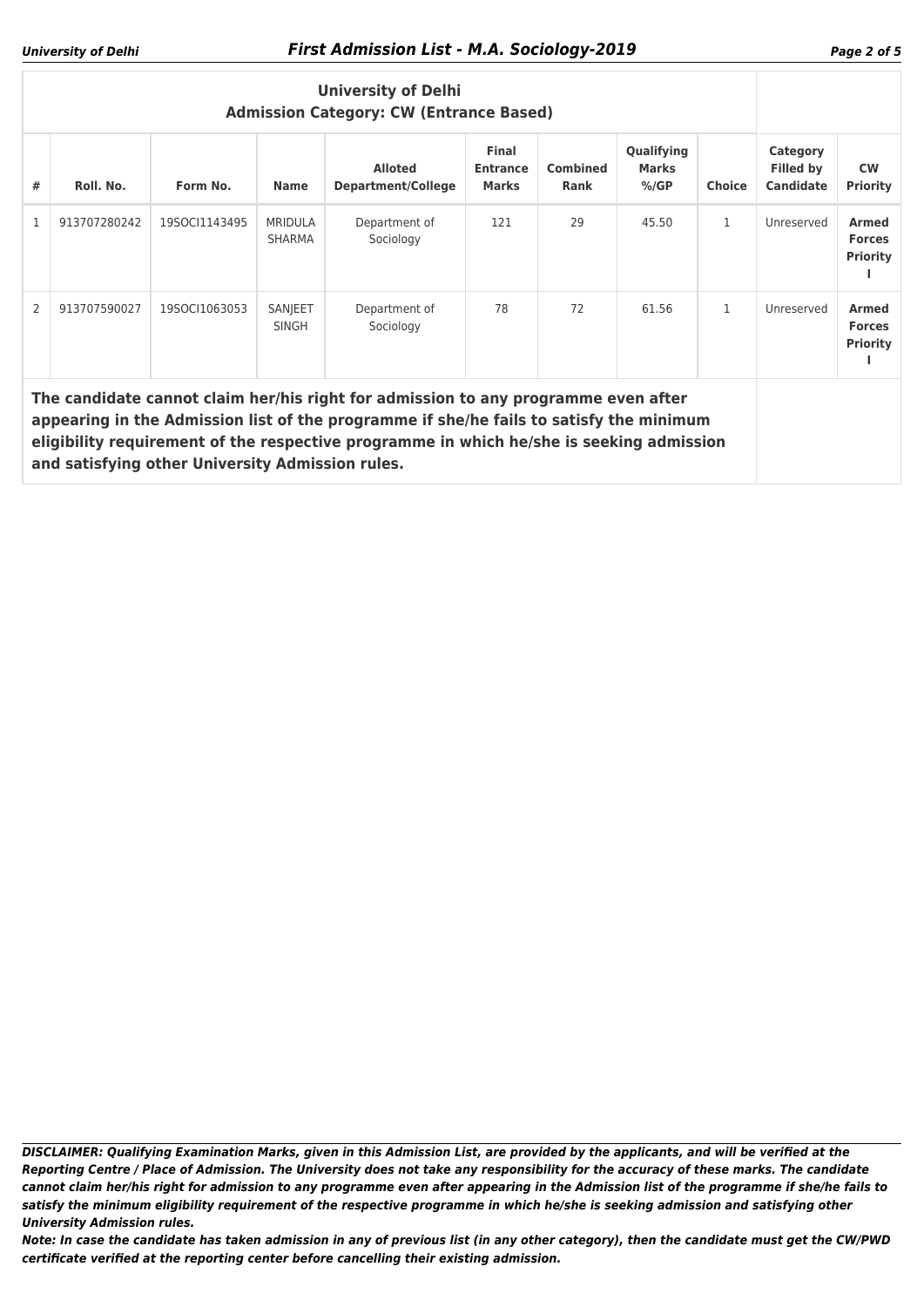| <b>University of Delhi</b><br><b>Admission Category: CW (Entrance Based)</b>                                                                                                  |              |               |                                 |                                             |                                                 |                         |                                |               |                                                  |                                                  |
|-------------------------------------------------------------------------------------------------------------------------------------------------------------------------------|--------------|---------------|---------------------------------|---------------------------------------------|-------------------------------------------------|-------------------------|--------------------------------|---------------|--------------------------------------------------|--------------------------------------------------|
| #                                                                                                                                                                             | Roll. No.    | Form No.      | <b>Name</b>                     | <b>Alloted</b><br><b>Department/College</b> | <b>Final</b><br><b>Entrance</b><br><b>Marks</b> | <b>Combined</b><br>Rank | Qualifying<br>Marks<br>$%$ /GP | <b>Choice</b> | Category<br><b>Filled by</b><br><b>Candidate</b> | <b>CW</b><br><b>Priority</b>                     |
| $\mathbf{1}$                                                                                                                                                                  | 913707280242 | 19SOCI1143495 | <b>MRIDULA</b><br><b>SHARMA</b> | Department of<br>Sociology                  | 121                                             | 29                      | 45.50                          | 1             | Unreserved                                       | <b>Armed</b><br><b>Forces</b><br><b>Priority</b> |
| 2                                                                                                                                                                             | 913707590027 | 19SOCI1063053 | SANJEET<br><b>SINGH</b>         | Department of<br>Sociology                  | 78                                              | 72                      | 61.56                          | 1             | Unreserved                                       | <b>Armed</b><br><b>Forces</b><br><b>Priority</b> |
| The candidate cannot claim her/his right for admission to any programme even after<br>appearing in the Admission list of the programme if she/he fails to satisfy the minimum |              |               |                                 |                                             |                                                 |                         |                                |               |                                                  |                                                  |

**eligibility requirement of the respective programme in which he/she is seeking admission and satisfying other University Admission rules.**

*DISCLAIMER: Qualifying Examination Marks, given in this Admission List, are provided by the applicants, and will be verified at the Reporting Centre / Place of Admission. The University does not take any responsibility for the accuracy of these marks. The candidate cannot claim her/his right for admission to any programme even after appearing in the Admission list of the programme if she/he fails to satisfy the minimum eligibility requirement of the respective programme in which he/she is seeking admission and satisfying other University Admission rules.*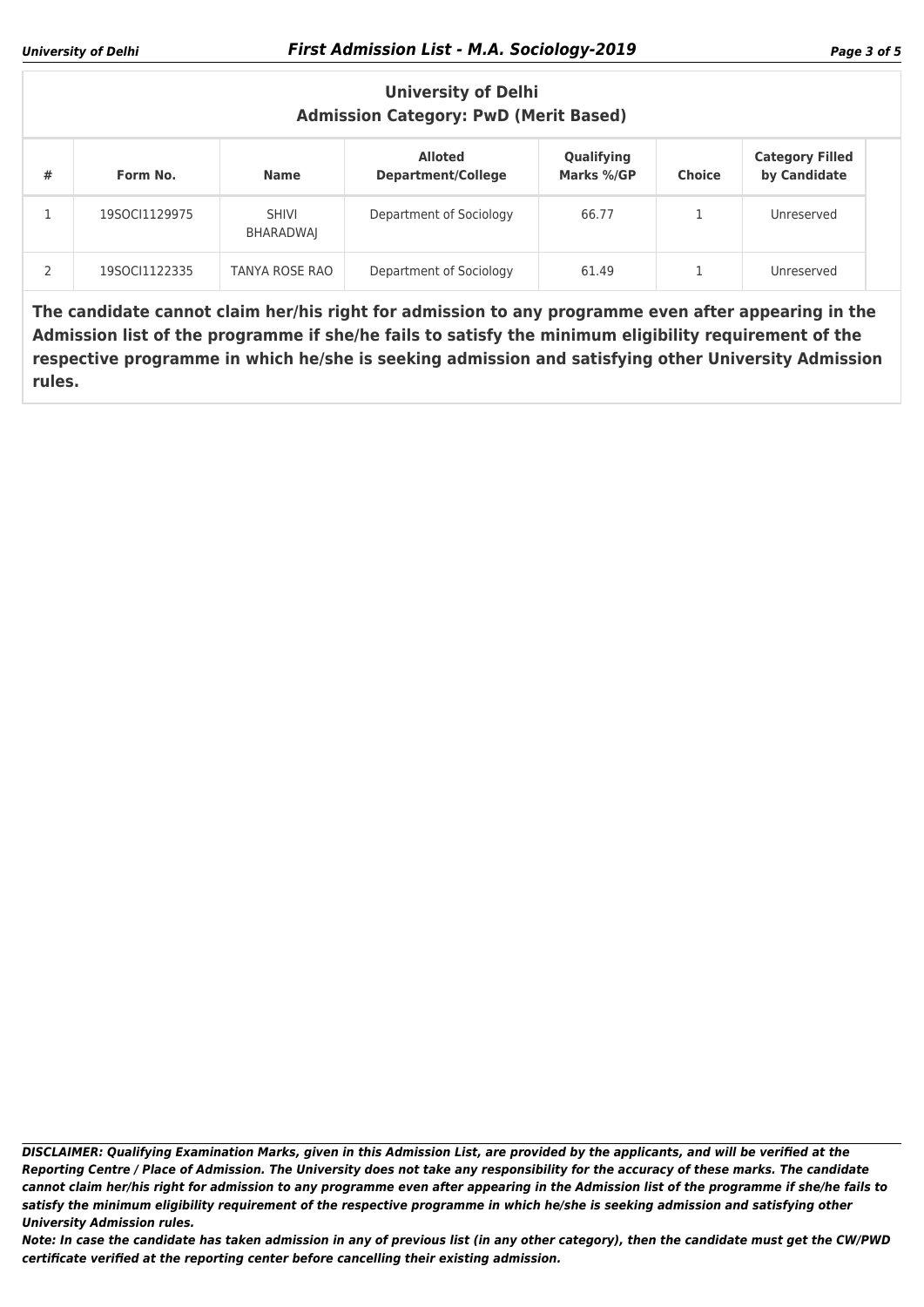| <b>University of Delhi</b><br><b>Admission Category: PwD (Merit Based)</b> |               |                           |                                             |                          |               |                                        |  |  |
|----------------------------------------------------------------------------|---------------|---------------------------|---------------------------------------------|--------------------------|---------------|----------------------------------------|--|--|
| #                                                                          | Form No.      | <b>Name</b>               | <b>Alloted</b><br><b>Department/College</b> | Qualifying<br>Marks %/GP | <b>Choice</b> | <b>Category Filled</b><br>by Candidate |  |  |
|                                                                            | 19SOCI1129975 | <b>SHIVI</b><br>BHARADWAI | Department of Sociology                     | 66.77                    |               | Unreserved                             |  |  |
|                                                                            | 19SOCI1122335 | TANYA ROSE RAO            | Department of Sociology                     | 61.49                    |               | Unreserved                             |  |  |

**The candidate cannot claim her/his right for admission to any programme even after appearing in the Admission list of the programme if she/he fails to satisfy the minimum eligibility requirement of the respective programme in which he/she is seeking admission and satisfying other University Admission rules.**

*DISCLAIMER: Qualifying Examination Marks, given in this Admission List, are provided by the applicants, and will be verified at the Reporting Centre / Place of Admission. The University does not take any responsibility for the accuracy of these marks. The candidate cannot claim her/his right for admission to any programme even after appearing in the Admission list of the programme if she/he fails to satisfy the minimum eligibility requirement of the respective programme in which he/she is seeking admission and satisfying other University Admission rules.*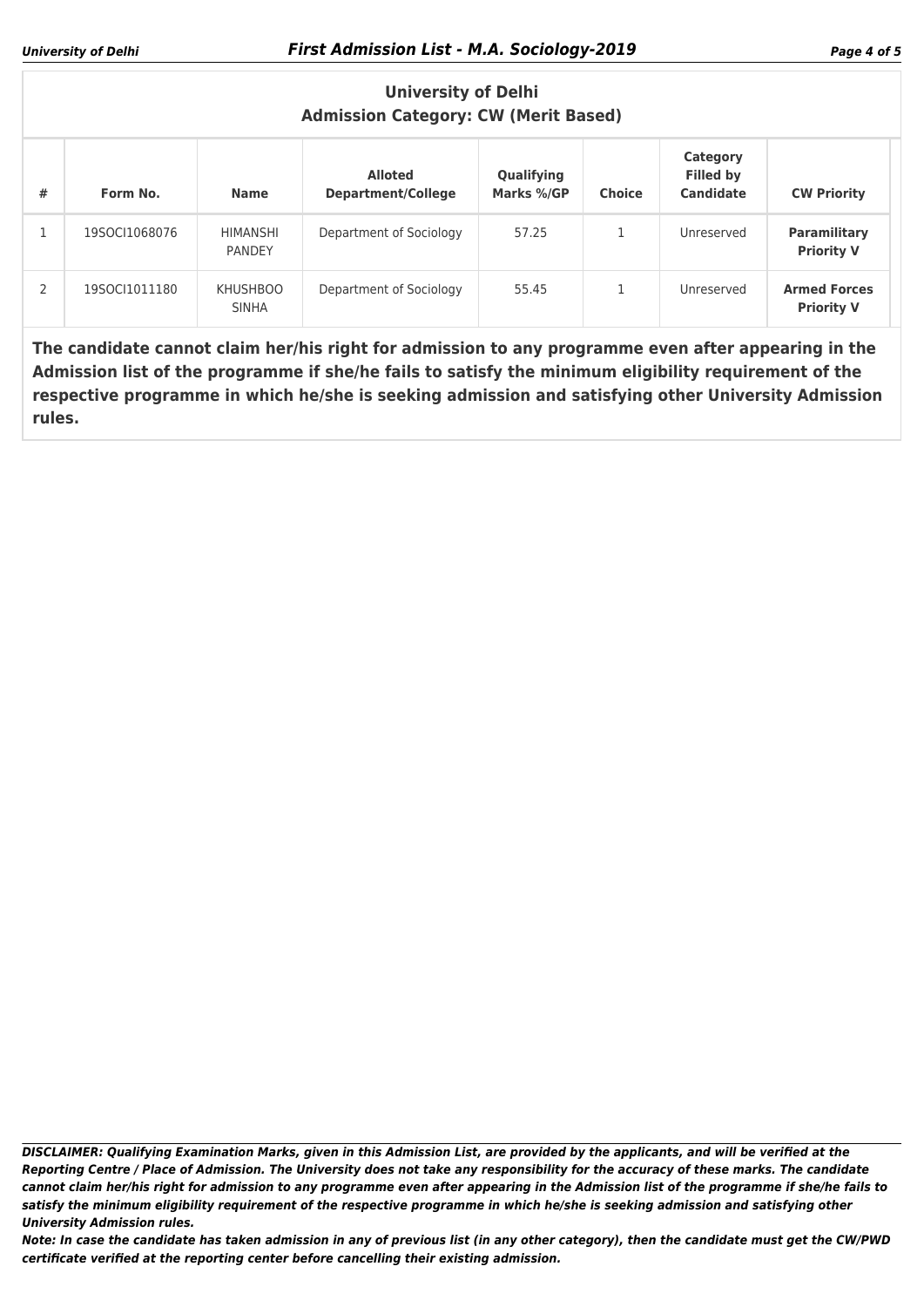### **University of Delhi Admission Category: CW (Merit Based)**

| # | Form No.      | <b>Name</b>                     | <b>Alloted</b><br><b>Department/College</b> | Qualifying<br>Marks %/GP | <b>Choice</b> | Category<br><b>Filled by</b><br>Candidate | <b>CW Priority</b>                       |
|---|---------------|---------------------------------|---------------------------------------------|--------------------------|---------------|-------------------------------------------|------------------------------------------|
|   | 19SOCI1068076 | HIMANSHI<br><b>PANDEY</b>       | Department of Sociology                     | 57.25                    |               | Unreserved                                | Paramilitary<br><b>Priority V</b>        |
| 2 | 19SOCI1011180 | <b>KHUSHBOO</b><br><b>SINHA</b> | Department of Sociology                     | 55.45                    |               | Unreserved                                | <b>Armed Forces</b><br><b>Priority V</b> |

**The candidate cannot claim her/his right for admission to any programme even after appearing in the Admission list of the programme if she/he fails to satisfy the minimum eligibility requirement of the respective programme in which he/she is seeking admission and satisfying other University Admission rules.**

*DISCLAIMER: Qualifying Examination Marks, given in this Admission List, are provided by the applicants, and will be verified at the Reporting Centre / Place of Admission. The University does not take any responsibility for the accuracy of these marks. The candidate cannot claim her/his right for admission to any programme even after appearing in the Admission list of the programme if she/he fails to satisfy the minimum eligibility requirement of the respective programme in which he/she is seeking admission and satisfying other University Admission rules.*